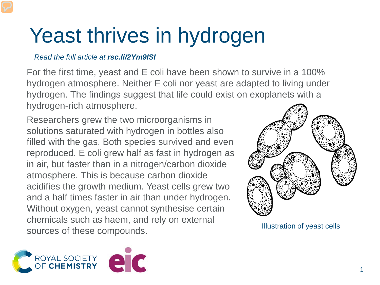## Yeast thrives in hydrogen

## *Read the full article at rsc.li/2Ym9ISI*

For the first time, yeast and E coli have been shown to survive in a 100% hydrogen atmosphere. Neither E coli nor yeast are adapted to living under hydrogen. The findings suggest that life could exist on exoplanets with a hydrogen-rich atmosphere.

Researchers grew the two microorganisms in solutions saturated with hydrogen in bottles also filled with the gas. Both species survived and even reproduced. E coli grew half as fast in hydrogen as in air, but faster than in a nitrogen/carbon dioxide atmosphere. This is because carbon dioxide acidifies the growth medium. Yeast cells grew two and a half times faster in air than under hydrogen. Without oxygen, yeast cannot synthesise certain chemicals such as haem, and rely on external sources of these compounds.